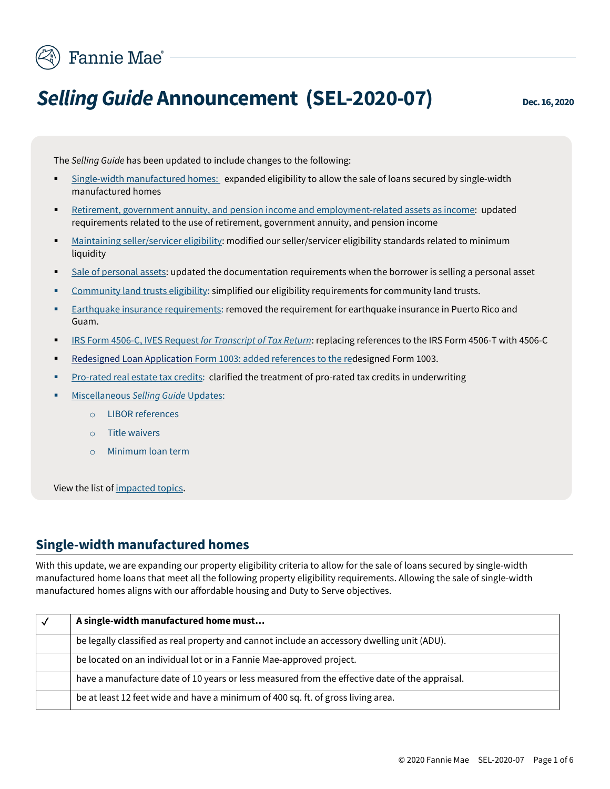

# *Selling Guide* **Announcement (SEL-2020-07) Dec.16, 2020**

The *Selling Guide* has been updated to include changes to the following:

- [Single-width manufactured homes:](#page-0-0) expanded eligibility to allow the sale of loans secured by single-width manufactured homes
- [Retirement, government annuity, and pension income and employment-related assets as income:](#page-1-0) updated requirements related to the use of retirement, government annuity, and pension income
- [Maintaining seller/servicer eligibility:](#page-1-1) modified our seller/servicer eligibility standards related to minimum liquidity
- [Sale of personal assets:](#page-2-0) updated the documentation requirements when the borrower is selling a personal asset
- [Community land trusts](#page-2-1) eligibility: simplified our eligibility requirements for community land trusts.
- [Earthquake insurance requirements:](#page-2-2) removed the requirement for earthquake insurance in Puerto Rico and Guam.
- [IRS Form 4506-C, IVES Request](#page-2-3) *for Transcript of Tax Return*: replacing references to the IRS Form 4506-T with 4506-C
- Redesigned Loan Application Form 1003: added [references to the red](#page-3-0)esigned Form 1003.
- [Pro-rated real estate tax credits:](#page-3-1) clarified the treatment of pro-rated tax credits in underwriting
- **[Miscellaneous](#page-3-2) Selling Guide Updates:** 
	- o LIBOR references
	- o Title waivers
	- o Minimum loan term

<span id="page-0-0"></span>View the list of [impacted topics.](#page-4-0)

#### **Single-width manufactured homes**

With this update, we are expanding our property eligibility criteria to allow for the sale of loans secured by single-width manufactured home loans that meet all the following property eligibility requirements. Allowing the sale of single-width manufactured homes aligns with our affordable housing and Duty to Serve objectives.

| A single-width manufactured home must                                                          |
|------------------------------------------------------------------------------------------------|
| be legally classified as real property and cannot include an accessory dwelling unit (ADU).    |
| be located on an individual lot or in a Fannie Mae-approved project.                           |
| have a manufacture date of 10 years or less measured from the effective date of the appraisal. |
| be at least 12 feet wide and have a minimum of 400 sq. ft. of gross living area.               |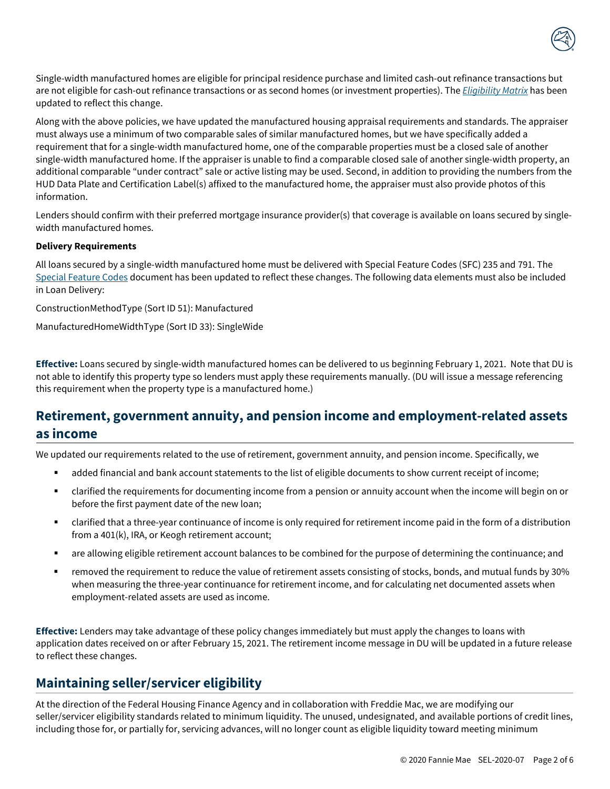

Single-width manufactured homes are eligible for principal residence purchase and limited cash-out refinance transactions but are not eligible for cash-out refinance transactions or as second homes (or investment properties). The *[Eligibility Matrix](https://singlefamily.fanniemae.com/media/document/pdf/eligibility-matrix-current)* has been updated to reflect this change.

Along with the above policies, we have updated the manufactured housing appraisal requirements and standards. The appraiser must always use a minimum of two comparable sales of similar manufactured homes, but we have specifically added a requirement that for a single-width manufactured home, one of the comparable properties must be a closed sale of another single-width manufactured home. If the appraiser is unable to find a comparable closed sale of another single-width property, an additional comparable "under contract" sale or active listing may be used. Second, in addition to providing the numbers from the HUD Data Plate and Certification Label(s) affixed to the manufactured home, the appraiser must also provide photos of this information.

Lenders should confirm with their preferred mortgage insurance provider(s) that coverage is available on loans secured by singlewidth manufactured homes.

#### **Delivery Requirements**

All loans secured by a single-width manufactured home must be delivered with Special Feature Codes (SFC) 235 and 791. The [Special Feature Codes](https://singlefamily.fanniemae.com/media/document/pdf/special-feature-codes) document has been updated to reflect these changes. The following data elements must also be included in Loan Delivery:

ConstructionMethodType (Sort ID 51): Manufactured

ManufacturedHomeWidthType (Sort ID 33): SingleWide

**Effective:** Loans secured by single-width manufactured homes can be delivered to us beginning February 1, 2021. Note that DU is not able to identify this property type so lenders must apply these requirements manually. (DU will issue a message referencing this requirement when the property type is a manufactured home.)

## <span id="page-1-0"></span>**Retirement, government annuity, and pension income and employment-related assets as income**

We updated our requirements related to the use of retirement, government annuity, and pension income. Specifically, we

- added financial and bank account statements to the list of eligible documents to show current receipt of income;
- clarified the requirements for documenting income from a pension or annuity account when the income will begin on or before the first payment date of the new loan;
- clarified that a three-year continuance of income is only required for retirement income paid in the form of a distribution from a 401(k), IRA, or Keogh retirement account;
- are allowing eligible retirement account balances to be combined for the purpose of determining the continuance; and
- removed the requirement to reduce the value of retirement assets consisting of stocks, bonds, and mutual funds by 30% when measuring the three-year continuance for retirement income, and for calculating net documented assets when employment-related assets are used as income.

**Effective:** Lenders may take advantage of these policy changes immediately but must apply the changes to loans with application dates received on or after February 15, 2021. The retirement income message in DU will be updated in a future release to reflect these changes.

#### **Maintaining seller/servicer eligibility**

<span id="page-1-1"></span>At the direction of the Federal Housing Finance Agency and in collaboration with Freddie Mac, we are modifying our seller/servicer eligibility standards related to minimum liquidity. The unused, undesignated, and available portions of credit lines, including those for, or partially for, servicing advances, will no longer count as eligible liquidity toward meeting minimum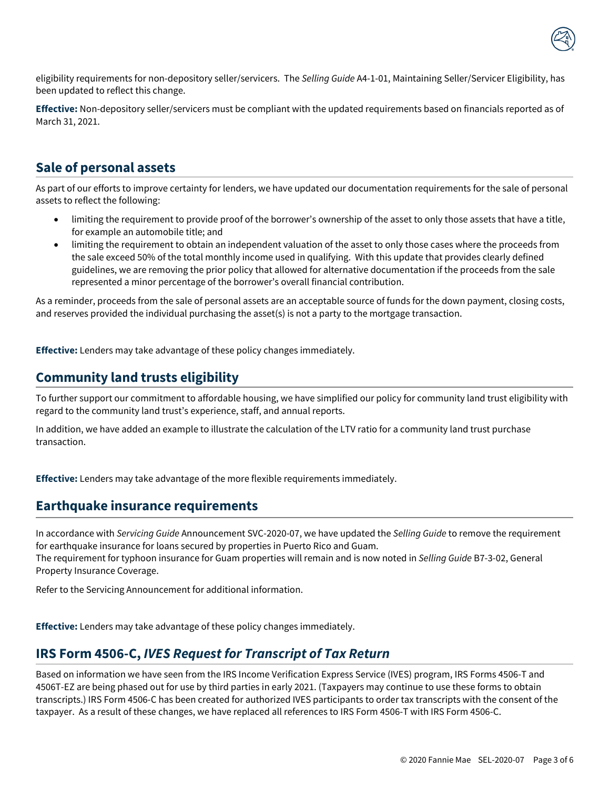

eligibility requirements for non-depository seller/servicers. The *Selling Guide* A4-1-01, Maintaining Seller/Servicer Eligibility, has been updated to reflect this change.

**Effective:** Non-depository seller/servicers must be compliant with the updated requirements based on financials reported as of March 31, 2021.

## **Sale of personal assets**

<span id="page-2-0"></span>As part of our efforts to improve certainty for lenders, we have updated our documentation requirements for the sale of personal assets to reflect the following:

- limiting the requirement to provide proof of the borrower's ownership of the asset to only those assets that have a title, for example an automobile title; and
- limiting the requirement to obtain an independent valuation of the asset to only those cases where the proceeds from the sale exceed 50% of the total monthly income used in qualifying. With this update that provides clearly defined guidelines, we are removing the prior policy that allowed for alternative documentation if the proceeds from the sale represented a minor percentage of the borrower's overall financial contribution.

As a reminder, proceeds from the sale of personal assets are an acceptable source of funds for the down payment, closing costs, and reserves provided the individual purchasing the asset(s) is not a party to the mortgage transaction.

**Effective:** Lenders may take advantage of these policy changes immediately.

## **Community land trusts eligibility**

<span id="page-2-1"></span>To further support our commitment to affordable housing, we have simplified our policy for community land trust eligibility with regard to the community land trust's experience, staff, and annual reports.

In addition, we have added an example to illustrate the calculation of the LTV ratio for a community land trust purchase transaction.

**Effective:** Lenders may take advantage of the more flexible requirements immediately.

#### <span id="page-2-2"></span>**Earthquake insurance requirements**

In accordance with *Servicing Guide* Announcement SVC-2020-07, we have updated the *Selling Guide* to remove the requirement for earthquake insurance for loans secured by properties in Puerto Rico and Guam. The requirement for typhoon insurance for Guam properties will remain and is now noted in *Selling Guide* B7-3-02, General Property Insurance Coverage.

Refer to the Servicing Announcement for additional information.

**Effective:** Lenders may take advantage of these policy changes immediately.

#### <span id="page-2-3"></span>**IRS Form 4506-C,** *IVES Request for Transcript of Tax Return*

Based on information we have seen from the IRS Income Verification Express Service (IVES) program, IRS Forms 4506-T and 4506T-EZ are being phased out for use by third parties in early 2021. (Taxpayers may continue to use these forms to obtain transcripts.) IRS Form 4506-C has been created for authorized IVES participants to order tax transcripts with the consent of the taxpayer. As a result of these changes, we have replaced all references to IRS Form 4506-T with IRS Form 4506-C.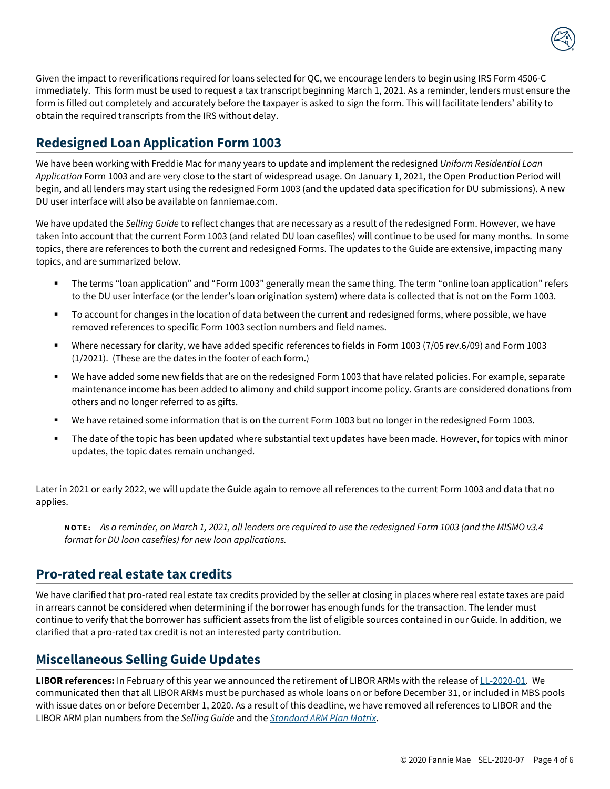

### <span id="page-3-0"></span>**Redesigned Loan Application Form 1003**

We have been working with Freddie Mac for many years to update and implement the redesigned *Uniform Residential Loan Application* Form 1003 and are very close to the start of widespread usage. On January 1, 2021, the Open Production Period will begin, and all lenders may start using the redesigned Form 1003 (and the updated data specification for DU submissions). A new DU user interface will also be available on fanniemae.com.

We have updated the *Selling Guide* to reflect changes that are necessary as a result of the redesigned Form. However, we have taken into account that the current Form 1003 (and related DU loan casefiles) will continue to be used for many months. In some topics, there are references to both the current and redesigned Forms. The updates to the Guide are extensive, impacting many topics, and are summarized below.

- The terms "loan application" and "Form 1003" generally mean the same thing. The term "online loan application" refers to the DU user interface (or the lender's loan origination system) where data is collected that is not on the Form 1003.
- To account for changes in the location of data between the current and redesigned forms, where possible, we have removed references to specific Form 1003 section numbers and field names.
- Where necessary for clarity, we have added specific references to fields in Form 1003 (7/05 rev.6/09) and Form 1003 (1/2021). (These are the dates in the footer of each form.)
- We have added some new fields that are on the redesigned Form 1003 that have related policies. For example, separate maintenance income has been added to alimony and child support income policy. Grants are considered donations from others and no longer referred to as gifts.
- We have retained some information that is on the current Form 1003 but no longer in the redesigned Form 1003.
- The date of the topic has been updated where substantial text updates have been made. However, for topics with minor updates, the topic dates remain unchanged.

Later in 2021 or early 2022, we will update the Guide again to remove all references to the current Form 1003 and data that no applies.

**NOTE:** *As a reminder, on March 1, 2021, all lenders are required to use the redesigned Form 1003 (and the MISMO v3.4 format for DU loan casefiles) for new loan applications.*

#### <span id="page-3-1"></span>**Pro-rated real estate tax credits**

We have clarified that pro-rated real estate tax credits provided by the seller at closing in places where real estate taxes are paid in arrears cannot be considered when determining if the borrower has enough funds for the transaction. The lender must continue to verify that the borrower has sufficient assets from the list of eligible sources contained in our Guide. In addition, we clarified that a pro-rated tax credit is not an interested party contribution.

#### <span id="page-3-2"></span>**Miscellaneous Selling Guide Updates**

**LIBOR references:** In February of this year we announced the retirement of LIBOR ARMs with the release o[f LL-2020-01.](https://singlefamily.fanniemae.com/media/document/pdf/lender-letter-ll-2020-01-important-updates-adjustable-rate-mortgage-arm-products) We communicated then that all LIBOR ARMs must be purchased as whole loans on or before December 31, or included in MBS pools with issue dates on or before December 1, 2020. As a result of this deadline, we have removed all references to LIBOR and the LIBOR ARM plan numbers from the *Selling Guide* and the *[Standard ARM Plan Matrix](https://singlefamily.fanniemae.com/media/document/pdf/standard-arm-plan-matrix)*.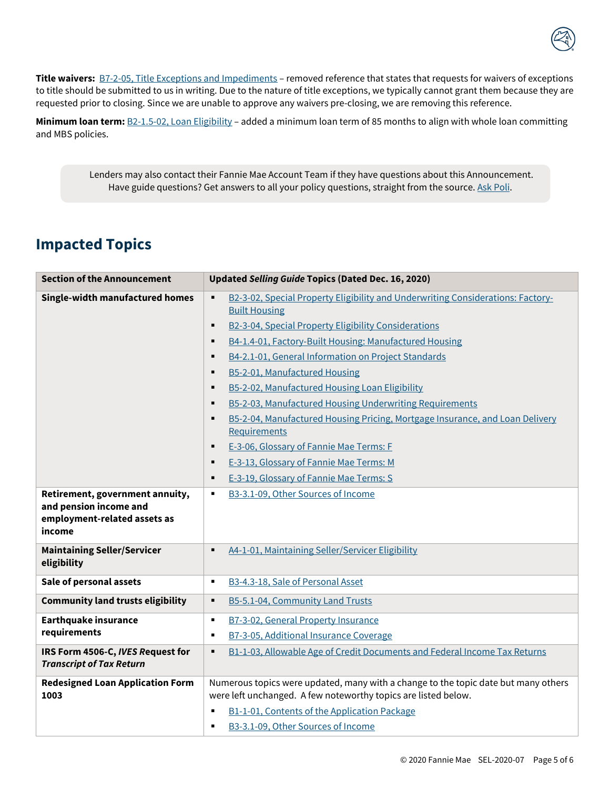

**Title waivers:** [B7-2-05, Title Exceptions and Impediments](https://singlefamily.fanniemae.com/media/document/pdf/selling-guide-december-16-2020#page=874) – removed reference that states that requests for waivers of exceptions to title should be submitted to us in writing. Due to the nature of title exceptions, we typically cannot grant them because they are requested prior to closing. Since we are unable to approve any waivers pre-closing, we are removing this reference.

**Minimum loan term:** [B2-1.5-02, Loan Eligibility](https://singlefamily.fanniemae.com/media/document/pdf/selling-guide-december-16-2020#page=240) – added a minimum loan term of 85 months to align with whole loan committing and MBS policies.

Lenders may also contact their Fannie Mae Account Team if they have questions about this Announcement. Have guide questions? Get answers to all your policy questions, straight from the source[. Ask Poli.](https://askpoli.fanniemae.com/?guideType=Seller&_ga=2.213443604.1603156932.1588165002-936014707.1588165002)

## <span id="page-4-0"></span>**Impacted Topics**

| <b>Section of the Announcement</b>                                                                  | Updated Selling Guide Topics (Dated Dec. 16, 2020)                                                                                                                        |
|-----------------------------------------------------------------------------------------------------|---------------------------------------------------------------------------------------------------------------------------------------------------------------------------|
| Single-width manufactured homes                                                                     | B2-3-02, Special Property Eligibility and Underwriting Considerations: Factory-<br>٠<br><b>Built Housing</b><br>B2-3-04, Special Property Eligibility Considerations<br>٠ |
|                                                                                                     | B4-1.4-01, Factory-Built Housing: Manufactured Housing<br>٠                                                                                                               |
|                                                                                                     | B4-2.1-01, General Information on Project Standards<br>٠                                                                                                                  |
|                                                                                                     | B5-2-01, Manufactured Housing<br>$\blacksquare$                                                                                                                           |
|                                                                                                     | B5-2-02, Manufactured Housing Loan Eligibility<br>٠                                                                                                                       |
|                                                                                                     | B5-2-03, Manufactured Housing Underwriting Requirements<br>$\blacksquare$                                                                                                 |
|                                                                                                     | B5-2-04, Manufactured Housing Pricing, Mortgage Insurance, and Loan Delivery<br>٠                                                                                         |
|                                                                                                     | Requirements                                                                                                                                                              |
|                                                                                                     | E-3-06, Glossary of Fannie Mae Terms: F<br>٠                                                                                                                              |
|                                                                                                     | E-3-13, Glossary of Fannie Mae Terms: M<br>٠                                                                                                                              |
|                                                                                                     | E-3-19, Glossary of Fannie Mae Terms: S<br>٠                                                                                                                              |
| Retirement, government annuity,<br>and pension income and<br>employment-related assets as<br>income | B3-3.1-09, Other Sources of Income<br>٠                                                                                                                                   |
| <b>Maintaining Seller/Servicer</b><br>eligibility                                                   | A4-1-01, Maintaining Seller/Servicer Eligibility<br>٠                                                                                                                     |
| Sale of personal assets                                                                             | B3-4.3-18, Sale of Personal Asset<br>٠                                                                                                                                    |
| <b>Community land trusts eligibility</b>                                                            | B5-5.1-04, Community Land Trusts<br>٠                                                                                                                                     |
| <b>Earthquake insurance</b>                                                                         | B7-3-02, General Property Insurance<br>٠                                                                                                                                  |
| requirements                                                                                        | B7-3-05, Additional Insurance Coverage<br>$\blacksquare$                                                                                                                  |
| IRS Form 4506-C, IVES Request for<br><b>Transcript of Tax Return</b>                                | B1-1-03, Allowable Age of Credit Documents and Federal Income Tax Returns<br>$\blacksquare$                                                                               |
| <b>Redesigned Loan Application Form</b><br>1003                                                     | Numerous topics were updated, many with a change to the topic date but many others<br>were left unchanged. A few noteworthy topics are listed below.                      |
|                                                                                                     | B1-1-01, Contents of the Application Package<br>$\blacksquare$                                                                                                            |
|                                                                                                     | B3-3.1-09, Other Sources of Income<br>٠                                                                                                                                   |